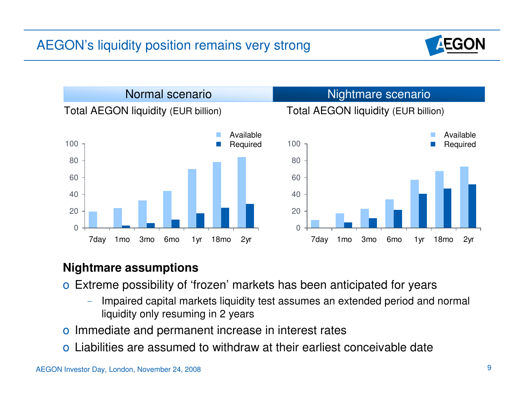



## **Nightmare assumptions**

- o Extreme possibility of 'frozen' markets has been anticipated for years
	- – Impaired capital markets liquidity test assumes an extended period and normal liquidity only resuming in 2 years
- o Immediate and permanent increase in interest rates
- o Liabilities are assumed to withdraw at their earliest conceivable date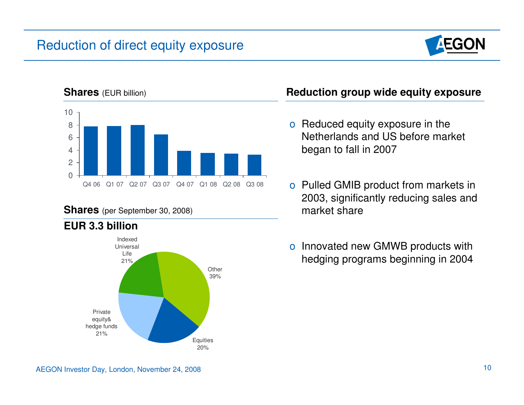## Reduction of direct equity exposure





#### **Shares** (per September 30, 2008) **market share**



## **EUR 3.3 billion**

- o Reduced equity exposure in the Netherlands and US before market began to fall in 2007
- o Pulled GMIB product from markets in 2003, significantly reducing sales and
- o Innovated new GMWB products with hedging programs beginning in 2004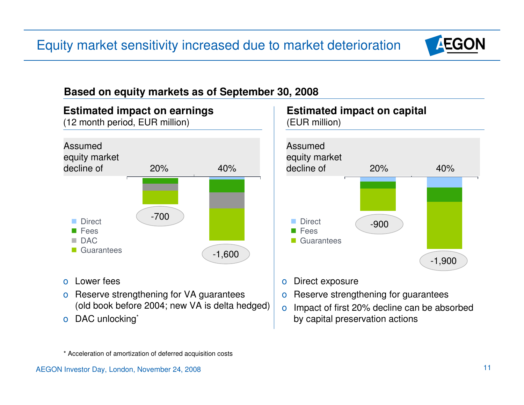## Equity market sensitivity increased due to market deterioration



## **Based on equity markets as of September 30, 2008**



- o Lower fees
- o Reserve strengthening for VA guarantees (old book before 2004; new VA is delta hedged)
- o DAC unlocking<sup>\*</sup>



- o Direct exposure
- o Reserve strengthening for guarantees
- o Impact of first 20% decline can be absorbed by capital preservation actions

\* Acceleration of amortization of deferred acquisition costs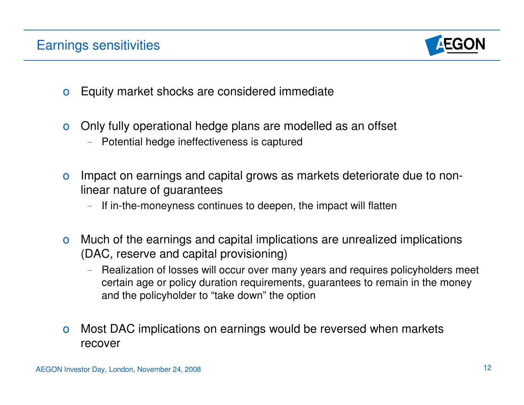

- o Equity market shocks are considered immediate
- o Only fully operational hedge plans are modelled as an offset
	- $-$  Potential hedge ineffectiveness is captured
- o Impact on earnings and capital grows as markets deteriorate due to nonlinear nature of guarantees
	- If in-the-moneyness continues to deepen, the impact will flatten
- o Much of the earnings and capital implications are unrealized implications (DAC, reserve and capital provisioning)
	- $-$  Realization of losses will occur over many years and requires policyholders meet certain age or policy duration requirements, guarantees to remain in the money and the policyholder to "take down" the option
- o Most DAC implications on earnings would be reversed when markets recover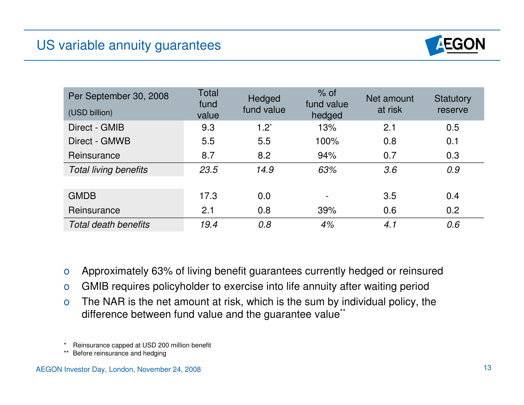

| Per September 30, 2008<br>(USD billion) | Total<br>fund<br>value | Hedged<br>fund value | $%$ of<br>fund value<br>hedged | Net amount<br>at risk | Statutory<br>reserve |
|-----------------------------------------|------------------------|----------------------|--------------------------------|-----------------------|----------------------|
| Direct - GMIB                           | 9.3                    | $1.2^*$              | 13%                            | 2.1                   | 0.5                  |
| Direct - GMWB                           | 5.5                    | 5.5                  | 100%                           | 0.8                   | 0.1                  |
| Reinsurance                             | 8.7                    | 8.2                  | 94%                            | 0.7                   | 0.3                  |
| <b>Total living benefits</b>            | 23.5                   | 14.9                 | 63%                            | 3.6                   | 0.9                  |
|                                         |                        |                      |                                |                       |                      |
| <b>GMDB</b>                             | 17.3                   | 0.0                  |                                | 3.5                   | 0.4                  |
| Reinsurance                             | 2.1                    | 0.8                  | 39%                            | 0.6                   | 0.2                  |
| Total death benefits                    | 19.4                   | 0.8                  | 4%                             | 4.1                   | 0.6                  |

- o Approximately 63% of living benefit guarantees currently hedged or reinsured
- o GMIB requires policyholder to exercise into life annuity after waiting period
- o The NAR is the net amount at risk, which is the sum by individual policy, the difference between fund value and the guarantee value\*\*
- Reinsurance capped at USD 200 million benefit
- \*\* Before reinsurance and hedging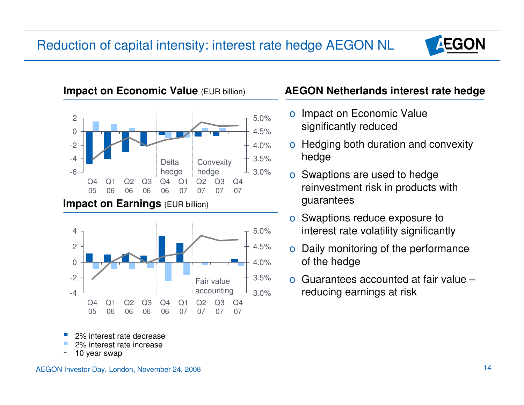



- 2% interest rate decrease
- 2% interest rate increase
- 10 year swap

#### AEGON Investor Day, London, November 24, 2008 14

## **AEGON Netherlands interest rate hedge**

- $_{5.0\%}$  o Impact on Economic Value  $\frac{4.5\%}{4.5\%}$  significantly reduced
- 4.0% o Hedging both duration and convexity 3.5% hedge
	-
- o Swaptions reduce exposure to 5.0% interest rate volatility significantly
- 4.5% o Daily monitoring of the performance 4.0% of the hedge
- $3.5\%$  o Guarantees accounted at fair value 3.0% reducing earnings at risk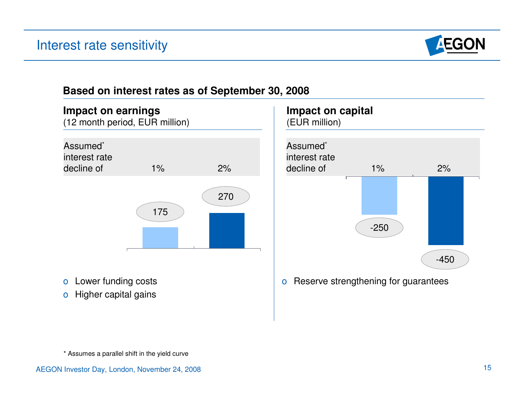

## **Based on interest rates as of September 30, 2008**





\* Assumes a parallel shift in the yield curve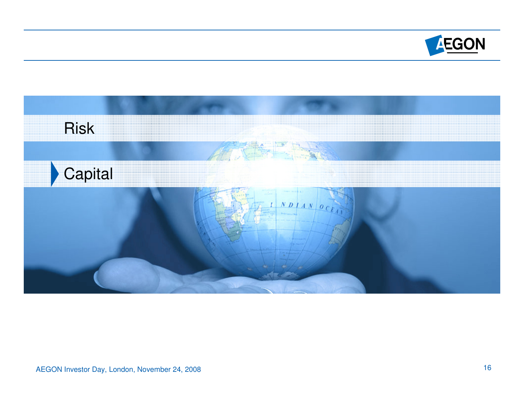

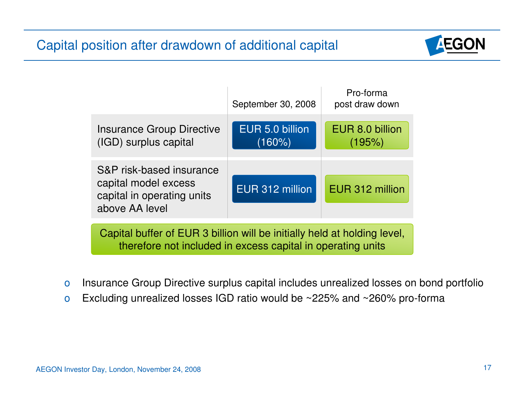## Capital position after drawdown of additional capital



|                                                                                                  | September 30, 2008           | Pro-forma<br>post draw down |  |  |  |  |  |
|--------------------------------------------------------------------------------------------------|------------------------------|-----------------------------|--|--|--|--|--|
| <b>Insurance Group Directive</b><br>(IGD) surplus capital                                        | EUR 5.0 billion<br>$(160\%)$ | EUR 8.0 billion<br>(195%)   |  |  |  |  |  |
| S&P risk-based insurance<br>capital model excess<br>capital in operating units<br>above AA level | EUR 312 million              | EUR 312 million             |  |  |  |  |  |
| Capital buffer of EUR 3 billion will be initially held at holding level.                         |                              |                             |  |  |  |  |  |

Capital buffer of EUR 3 billion will be initially held at holding level, therefore not included in excess capital in operating units

- o Insurance Group Directive surplus capital includes unrealized losses on bond portfolio
- o Excluding unrealized losses IGD ratio would be ~225% and ~260% pro-forma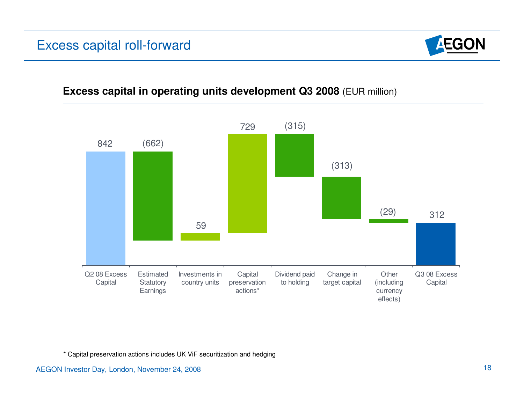## Excess capital roll-forward



### **Excess capital in operating units development Q3 2008** (EUR million)



\* Capital preservation actions includes UK ViF securitization and hedging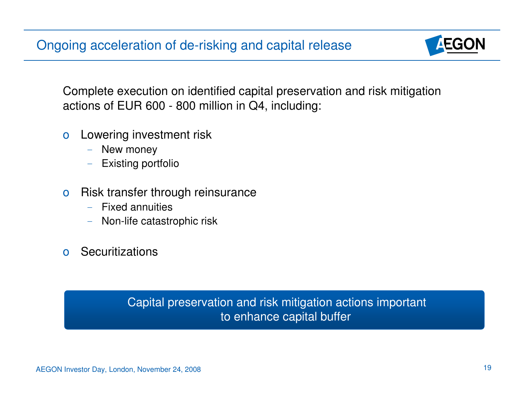Ongoing acceleration of de-risking and capital release



Complete execution on identified capital preservation and risk mitigation actions of EUR 600 - 800 million in Q4, including:

- o Lowering investment risk
	- –New money
	- Existing portfolio
- o Risk transfer through reinsurance
	- –Fixed annuities
	- –Non-life catastrophic risk
- o Securitizations

Capital preservation and risk mitigation actions important to enhance capital buffer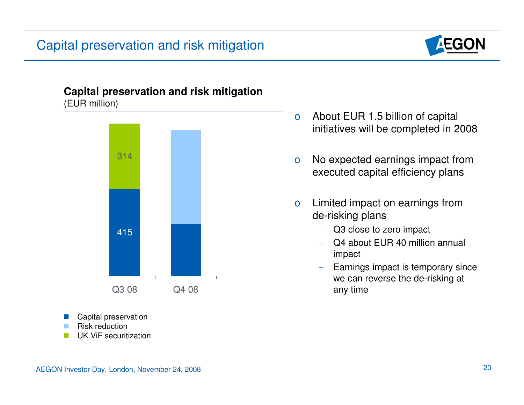## Capital preservation and risk mitigation



#### **Capital preservation and risk mitigation**  (EUR million)



- Capital preservation
- Risk reduction
- � UK ViF securitization
- o About EUR 1.5 billion of capital initiatives will be completed in 2008
- o No expected earnings impact from executed capital efficiency plans
- o Limited impact on earnings from de-risking plans
	- – Q3 close to zero impact
	- Q4 about EUR 40 million annual impact
	- $\rightarrow$  Earnings impact is temporary since we can reverse the de-risking at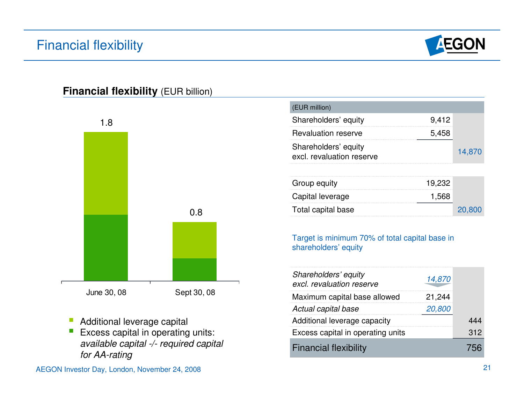## Financial flexibility



### **Financial flexibility (EUR billion)**



- � Additional leverage capital
- $\mathbb{R}^3$  Excess capital in operating units: available capital -/- required capital for AA-rating

| (EUR million)                                     |       |        |
|---------------------------------------------------|-------|--------|
| Shareholders' equity                              | 9,412 |        |
| <b>Revaluation reserve</b>                        | 5,458 |        |
| Shareholders' equity<br>excl. revaluation reserve |       | 14,870 |

| Group equity<br>19.232    |        |
|---------------------------|--------|
| Capital leverage<br>1,568 |        |
| Total capital base        | 20,800 |

#### Target is minimum 70% of total capital base in shareholders' equity

| Shareholders' equity<br>excl. revaluation reserve | 14,870 |     |
|---------------------------------------------------|--------|-----|
| Maximum capital base allowed                      | 21,244 |     |
| Actual capital base                               | 20,800 |     |
| Additional leverage capacity                      |        | 444 |
| Excess capital in operating units                 |        | 312 |
| <b>Financial flexibility</b>                      |        |     |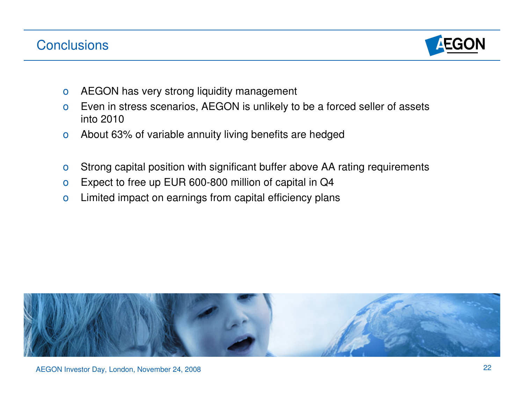## **Conclusions**



- o AEGON has very strong liquidity management
- o Even in stress scenarios, AEGON is unlikely to be a forced seller of assets into 2010
- o About 63% of variable annuity living benefits are hedged
- o Strong capital position with significant buffer above AA rating requirements
- o Expect to free up EUR 600-800 million of capital in Q4
- o Limited impact on earnings from capital efficiency plans

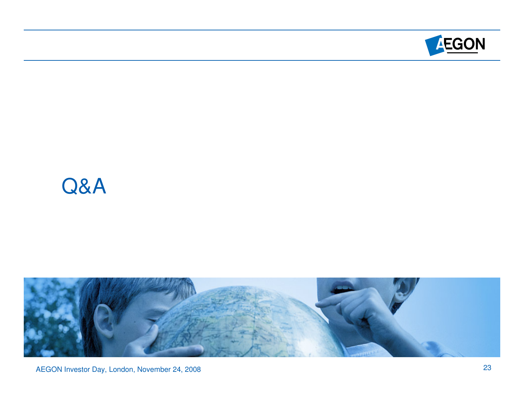

## Q&A



AEGON Investor Day, London, November 24, 2008 23 and 2008 23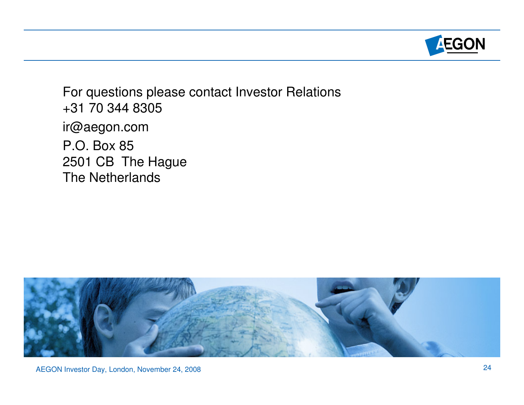

For questions please contact Investor Relations +31 70 344 8305 ir@aegon.com P.O. Box 85 2501 CB The Hague The Netherlands

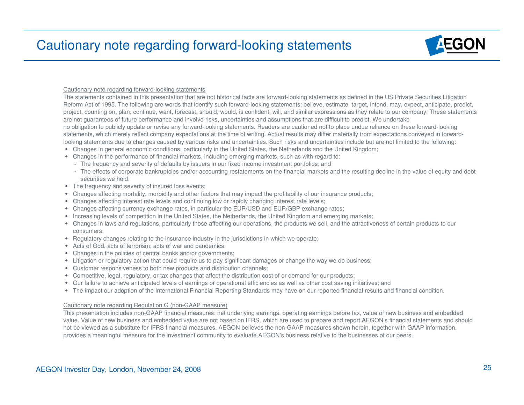

#### Cautionary note regarding forward-looking statements

The statements contained in this presentation that are not historical facts are forward-looking statements as defined in the US Private Securities Litigation Reform Act of 1995. The following are words that identify such forward-looking statements: believe, estimate, target, intend, may, expect, anticipate, predict, project, counting on, plan, continue, want, forecast, should, would, is confident, will, and similar expressions as they relate to our company. These statements are not guarantees of future performance and involve risks, uncertainties and assumptions that are difficult to predict. We undertake no obligation to publicly update or revise any forward-looking statements. Readers are cautioned not to place undue reliance on these forward-looking statements, which merely reflect company expectations at the time of writing. Actual results may differ materially from expectations conveyed in forwardlooking statements due to changes caused by various risks and uncertainties. Such risks and uncertainties include but are not limited to the following:

- **•** Changes in general economic conditions, particularly in the United States, the Netherlands and the United Kingdom;
- **•** Changes in the performance of financial markets, including emerging markets, such as with regard to:
	- The frequency and severity of defaults by issuers in our fixed income investment portfolios; and
	- The effects of corporate bankruptcies and/or accounting restatements on the financial markets and the resulting decline in the value of equity and debt securities we hold;
- The frequency and severity of insured loss events;
- Changes affecting mortality, morbidity and other factors that may impact the profitability of our insurance products;
- **•** Changes affecting interest rate levels and continuing low or rapidly changing interest rate levels;
- **•** Changes affecting currency exchange rates, in particular the EUR/USD and EUR/GBP exchange rates;
- **•** Increasing levels of competition in the United States, the Netherlands, the United Kingdom and emerging markets;
- **•** Changes in laws and regulations, particularly those affecting our operations, the products we sell, and the attractiveness of certain products to our consumers;
- **•** Regulatory changes relating to the insurance industry in the jurisdictions in which we operate;
- **•** Acts of God, acts of terrorism, acts of war and pandemics;
- Changes in the policies of central banks and/or governments;
- **•** Litigation or regulatory action that could require us to pay significant damages or change the way we do business;
- Customer responsiveness to both new products and distribution channels;
- **•** Competitive, legal, regulatory, or tax changes that affect the distribution cost of or demand for our products;
- **•** Our failure to achieve anticipated levels of earnings or operational efficiencies as well as other cost saving initiatives; and
- **•** The impact our adoption of the International Financial Reporting Standards may have on our reported financial results and financial condition.

#### Cautionary note regarding Regulation G (non-GAAP measure)

This presentation includes non-GAAP financial measures: net underlying earnings, operating earnings before tax, value of new business and embedded value. Value of new business and embedded value are not based on IFRS, which are used to prepare and report AEGON's financial statements and should not be viewed as a substitute for IFRS financial measures. AEGON believes the non-GAAP measures shown herein, together with GAAP information, provides a meaningful measure for the investment community to evaluate AEGON's business relative to the businesses of our peers.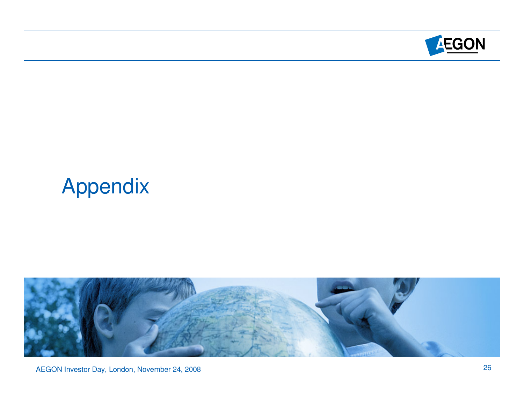

# Appendix



AEGON Investor Day, London, November 24, 2008 26 and 2008 26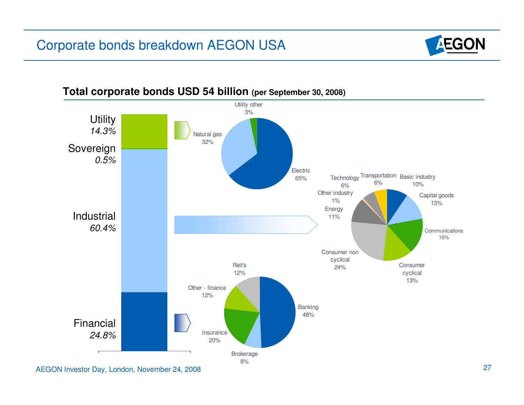## Corporate bonds breakdown AEGON USA





#### **Total corporate bonds USD 54 billion (per September 30, 2008)**

AEGON Investor Day, London, November 24, 2008 27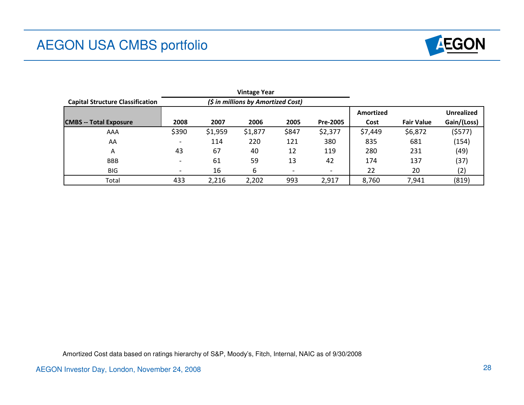## AEGON USA CMBS portfolio



|                                         |                          |         | <b>Vintage Year</b>                |       |                          |           |                   |                   |
|-----------------------------------------|--------------------------|---------|------------------------------------|-------|--------------------------|-----------|-------------------|-------------------|
| <b>Capital Structure Classification</b> |                          |         | (\$ in millions by Amortized Cost) |       |                          |           |                   |                   |
|                                         |                          |         |                                    |       |                          | Amortized |                   | <b>Unrealized</b> |
| <b>CMBS</b> -- Total Exposure           | 2008                     | 2007    | 2006                               | 2005  | Pre-2005                 | Cost      | <b>Fair Value</b> | Gain/(Loss)       |
| AAA                                     | \$390                    | \$1,959 | \$1,877                            | \$847 | \$2,377                  | \$7,449   | \$6,872           | (5577)            |
| AA                                      | $\overline{\phantom{0}}$ | 114     | 220                                | 121   | 380                      | 835       | 681               | (154)             |
| A                                       | 43                       | 67      | 40                                 | 12    | 119                      | 280       | 231               | (49)              |
| <b>BBB</b>                              |                          | 61      | 59                                 | 13    | 42                       | 174       | 137               | (37)              |
| <b>BIG</b>                              | $\overline{\phantom{0}}$ | 16      | 6                                  |       | $\overline{\phantom{a}}$ | 22        | 20                | (2)               |
| Total                                   | 433                      | 2,216   | 2,202                              | 993   | 2,917                    | 8,760     | 7,941             | (819)             |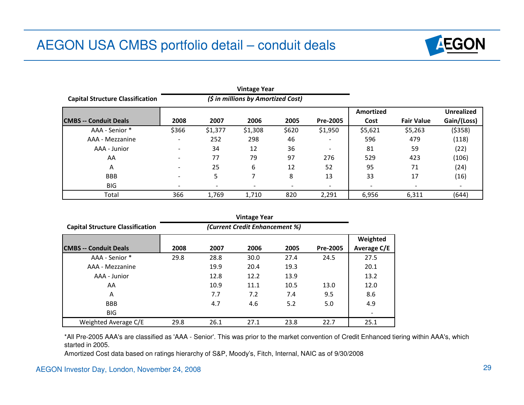

|                                         | <b>Vintage Year</b> |                              |                                    |       |                          |           |                   |                   |
|-----------------------------------------|---------------------|------------------------------|------------------------------------|-------|--------------------------|-----------|-------------------|-------------------|
| <b>Capital Structure Classification</b> |                     |                              | (\$ in millions by Amortized Cost) |       |                          |           |                   |                   |
|                                         |                     |                              |                                    |       |                          | Amortized |                   | <b>Unrealized</b> |
| <b>ICMBS -- Conduit Deals</b>           | 2008                | 2007                         | 2006                               | 2005  | Pre-2005                 | Cost      | <b>Fair Value</b> | Gain/(Loss)       |
| AAA - Senior *                          | \$366               | \$1,377                      | \$1,308                            | \$620 | \$1,950                  | \$5,621   | \$5,263           | (5358)            |
| AAA - Mezzanine                         |                     | 252                          | 298                                | 46    | -                        | 596       | 479               | (118)             |
| AAA - Junior                            |                     | 34                           | 12                                 | 36    | $\overline{\phantom{a}}$ | 81        | 59                | (22)              |
| AA                                      |                     | 77                           | 79                                 | 97    | 276                      | 529       | 423               | (106)             |
| A                                       |                     | 25                           | 6                                  | 12    | 52                       | 95        | 71                | (24)              |
| <b>BBB</b>                              |                     | 5                            | 7                                  | 8     | 13                       | 33        | 17                | (16)              |
| BIG                                     |                     | $\qquad \qquad \blacksquare$ |                                    |       | $\overline{\phantom{a}}$ |           |                   |                   |
| Total                                   | 366                 | 1,769                        | 1,710                              | 820   | 2,291                    | 6,956     | 6,311             | (644)             |

|                                         |      | <b>Vintage Year</b>            |      |      |          |             |  |  |  |  |
|-----------------------------------------|------|--------------------------------|------|------|----------|-------------|--|--|--|--|
| <b>Capital Structure Classification</b> |      | (Current Credit Enhancement %) |      |      |          |             |  |  |  |  |
|                                         |      |                                |      |      |          | Weighted    |  |  |  |  |
| <b>ICMBS -- Conduit Deals</b>           | 2008 | 2007                           | 2006 | 2005 | Pre-2005 | Average C/E |  |  |  |  |
| AAA - Senior *                          | 29.8 | 28.8                           | 30.0 | 27.4 | 24.5     | 27.5        |  |  |  |  |
| AAA - Mezzanine                         |      | 19.9                           | 20.4 | 19.3 |          | 20.1        |  |  |  |  |
| AAA - Junior                            |      | 12.8                           | 12.2 | 13.9 |          | 13.2        |  |  |  |  |
| AA                                      |      | 10.9                           | 11.1 | 10.5 | 13.0     | 12.0        |  |  |  |  |
| A                                       |      | 7.7                            | 7.2  | 7.4  | 9.5      | 8.6         |  |  |  |  |
| <b>BBB</b>                              |      | 4.7                            | 4.6  | 5.2  | 5.0      | 4.9         |  |  |  |  |
| <b>BIG</b>                              |      |                                |      |      |          |             |  |  |  |  |
| Weighted Average C/E                    | 29.8 | 26.1                           | 27.1 | 23.8 | 22.7     | 25.1        |  |  |  |  |

\*All Pre-2005 AAA's are classified as 'AAA - Senior'. This was prior to the market convention of Credit Enhanced tiering within AAA's, which started in 2005.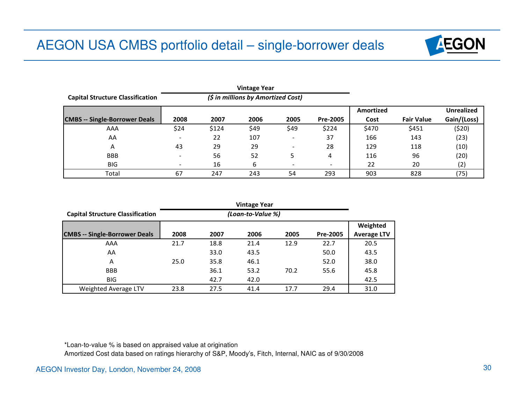

|                                         |      |       | <b>Vintage Year</b>                |      |                          |           |                   |                   |
|-----------------------------------------|------|-------|------------------------------------|------|--------------------------|-----------|-------------------|-------------------|
| <b>Capital Structure Classification</b> |      |       | (\$ in millions by Amortized Cost) |      |                          |           |                   |                   |
|                                         |      |       |                                    |      |                          | Amortized |                   | <b>Unrealized</b> |
| <b>CMBS -- Single-Borrower Deals</b>    | 2008 | 2007  | 2006                               | 2005 | Pre-2005                 | Cost      | <b>Fair Value</b> | Gain/(Loss)       |
| AAA                                     | \$24 | \$124 | \$49                               | \$49 | \$224                    | \$470     | \$451             | (520)             |
| AA                                      |      | 22    | 107                                |      | 37                       | 166       | 143               | (23)              |
| A                                       | 43   | 29    | 29                                 |      | 28                       | 129       | 118               | (10)              |
| <b>BBB</b>                              |      | 56    | 52                                 | 5    | 4                        | 116       | 96                | (20)              |
| <b>BIG</b>                              |      | 16    | 6                                  |      | $\overline{\phantom{0}}$ | 22        | 20                | (2)               |
| Total                                   | 67   | 247   | 243                                | 54   | 293                      | 903       | 828               | (75)              |

|                                         |      | <b>Vintage Year</b> |      |      |          |                    |  |  |  |  |
|-----------------------------------------|------|---------------------|------|------|----------|--------------------|--|--|--|--|
| <b>Capital Structure Classification</b> |      | (Loan-to-Value %)   |      |      |          |                    |  |  |  |  |
|                                         |      |                     |      |      |          | Weighted           |  |  |  |  |
| <b>CMBS</b> -- Single-Borrower Deals    | 2008 | 2007                | 2006 | 2005 | Pre-2005 | <b>Average LTV</b> |  |  |  |  |
| AAA                                     | 21.7 | 18.8                | 21.4 | 12.9 | 22.7     | 20.5               |  |  |  |  |
| AA                                      |      | 33.0                | 43.5 |      | 50.0     | 43.5               |  |  |  |  |
| Α                                       | 25.0 | 35.8                | 46.1 |      | 52.0     | 38.0               |  |  |  |  |
| <b>BBB</b>                              |      | 36.1                | 53.2 | 70.2 | 55.6     | 45.8               |  |  |  |  |
| <b>BIG</b>                              |      | 42.7                | 42.0 |      |          | 42.5               |  |  |  |  |
| Weighted Average LTV                    | 23.8 | 27.5                | 41.4 | 17.7 | 29.4     | 31.0               |  |  |  |  |

#### \*Loan-to-value % is based on appraised value at origination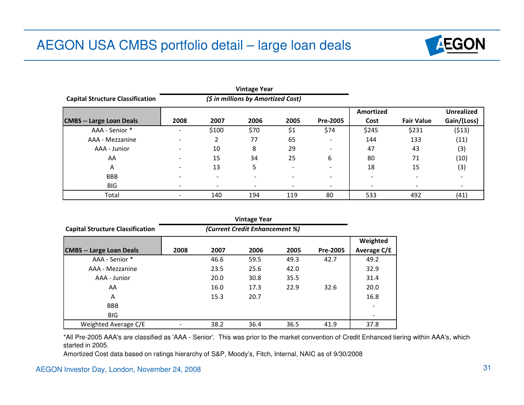

| <b>Capital Structure Classification</b> |      |                          | (\$ in millions by Amortized Cost) |      |                          |           |                   |                   |
|-----------------------------------------|------|--------------------------|------------------------------------|------|--------------------------|-----------|-------------------|-------------------|
|                                         |      |                          |                                    |      |                          | Amortized |                   | <b>Unrealized</b> |
| <b>CMBS -- Large Loan Deals</b>         | 2008 | 2007                     | 2006                               | 2005 | Pre-2005                 | Cost      | <b>Fair Value</b> | Gain/(Loss)       |
| AAA - Senior *                          |      | \$100                    | \$70                               | \$1  | \$74                     | \$245     | \$231             | (513)             |
| AAA - Mezzanine                         |      |                          | 77                                 | 65   | ۰                        | 144       | 133               | (11)              |
| AAA - Junior                            |      | 10                       | 8                                  | 29   | $\overline{\phantom{a}}$ | 47        | 43                | (3)               |
| AA                                      |      | 15                       | 34                                 | 25   | 6                        | 80        | 71                | (10)              |
| A                                       |      | 13                       | 5                                  |      | $\overline{\phantom{a}}$ | 18        | 15                | (3)               |
| <b>BBB</b>                              |      | $\overline{\phantom{a}}$ | $\overline{\phantom{0}}$           |      | $\overline{\phantom{a}}$ |           |                   |                   |
| BIG                                     |      | $\overline{\phantom{0}}$ |                                    |      | $\blacksquare$           |           |                   |                   |
| Total                                   |      | 140                      | 194                                | 119  | 80                       | 533       | 492               | (41)              |

| <b>Capital Structure Classification</b> |      |      |      |      |          |                    |
|-----------------------------------------|------|------|------|------|----------|--------------------|
|                                         |      |      |      |      |          | Weighted           |
| <b>CMBS -- Large Loan Deals</b>         | 2008 | 2007 | 2006 | 2005 | Pre-2005 | <b>Average C/E</b> |
| AAA - Senior *                          |      | 46.6 | 59.5 | 49.3 | 42.7     | 49.2               |
| AAA - Mezzanine                         |      | 23.5 | 25.6 | 42.0 |          | 32.9               |
| AAA - Junior                            |      | 20.0 | 30.8 | 35.5 |          | 31.4               |
| AA                                      |      | 16.0 | 17.3 | 22.9 | 32.6     | 20.0               |
| A                                       |      | 15.3 | 20.7 |      |          | 16.8               |
| <b>BBB</b>                              |      |      |      |      |          |                    |
| <b>BIG</b>                              |      |      |      |      |          |                    |
| Weighted Average C/E                    |      | 38.2 | 36.4 | 36.5 | 41.9     | 37.8               |

\*All Pre-2005 AAA's are classified as 'AAA - Senior'. This was prior to the market convention of Credit Enhanced tiering within AAA's, which started in 2005.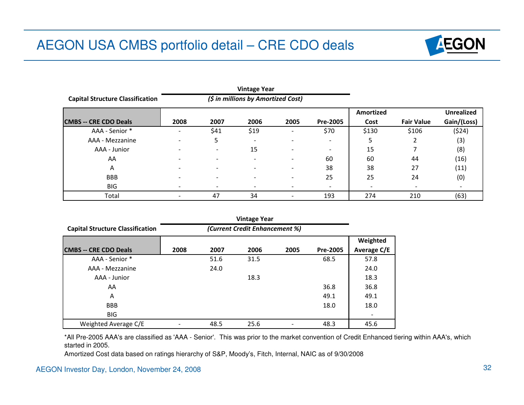

|                                         | <b>Vintage Year</b><br>(\$ in millions by Amortized Cost) |                          |                          |      |                          |                  |                   |                   |
|-----------------------------------------|-----------------------------------------------------------|--------------------------|--------------------------|------|--------------------------|------------------|-------------------|-------------------|
| <b>Capital Structure Classification</b> |                                                           |                          |                          |      |                          |                  |                   |                   |
|                                         |                                                           |                          |                          |      |                          | <b>Amortized</b> |                   | <b>Unrealized</b> |
| <b>CMBS -- CRE CDO Deals</b>            | 2008                                                      | 2007                     | 2006                     | 2005 | Pre-2005                 | Cost             | <b>Fair Value</b> | Gain/(Loss)       |
| AAA - Senior *                          |                                                           | \$41                     | \$19                     |      | \$70                     | \$130            | \$106             | (524)             |
| AAA - Mezzanine                         |                                                           | 5                        | $\overline{\phantom{a}}$ |      | $\overline{\phantom{0}}$ | 5                |                   | (3)               |
| AAA - Junior                            |                                                           | $\overline{\phantom{a}}$ | 15                       |      | $\overline{\phantom{a}}$ | 15               |                   | (8)               |
| AA                                      |                                                           | $\overline{\phantom{0}}$ | $\overline{\phantom{0}}$ |      | 60                       | 60               | 44                | (16)              |
| A                                       |                                                           |                          |                          |      | 38                       | 38               | 27                | (11)              |
| <b>BBB</b>                              |                                                           | $\overline{\phantom{0}}$ |                          |      | 25                       | 25               | 24                | (0)               |
| <b>BIG</b>                              |                                                           |                          |                          |      | $\overline{\phantom{a}}$ |                  |                   |                   |
| Total                                   |                                                           | 47                       | 34                       |      | 193                      | 274              | 210               | (63)              |

| <b>Capital Structure Classification</b> | (Current Credit Enhancement %) |      |      |      |                 |             |
|-----------------------------------------|--------------------------------|------|------|------|-----------------|-------------|
|                                         |                                |      |      |      |                 | Weighted    |
| <b>CMBS -- CRE CDO Deals</b>            | 2008                           | 2007 | 2006 | 2005 | <b>Pre-2005</b> | Average C/E |
| AAA - Senior *                          |                                | 51.6 | 31.5 |      | 68.5            | 57.8        |
| AAA - Mezzanine                         |                                | 24.0 |      |      |                 | 24.0        |
| AAA - Junior                            |                                |      | 18.3 |      |                 | 18.3        |
| AA                                      |                                |      |      |      | 36.8            | 36.8        |
| A                                       |                                |      |      |      | 49.1            | 49.1        |
| <b>BBB</b>                              |                                |      |      |      | 18.0            | 18.0        |
| <b>BIG</b>                              |                                |      |      |      |                 |             |
| Weighted Average C/E                    |                                | 48.5 | 25.6 |      | 48.3            | 45.6        |

\*All Pre-2005 AAA's are classified as 'AAA - Senior'. This was prior to the market convention of Credit Enhanced tiering within AAA's, which started in 2005.